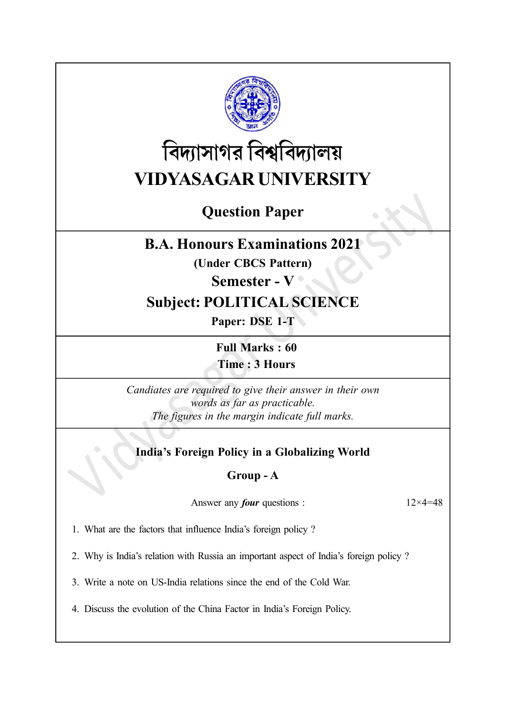

# বিদ্যাসাগর বিশ্ববিদ্যালয় VIDYASAGAR UNIVERSITY

# Question Paper

## B.A. Honours Examinations 2021

(Under CBCS Pattern)

### Semester - V <sup>o</sup>

# Subject: POLITICAL SCIENCE

Paper: DSE 1-T

Full Marks : 60 Time : 3 Hours

Candiates are required to give their answer in their own words as far as practicable. The figures in the margin indicate full marks.

## India's Foreign Policy in a Globalizing World

#### Group - A

Answer any *four* questions :  $12 \times 4 = 48$ 

1. What are the factors that influence India's foreign policy ?

2. Why is India's relation with Russia an important aspect of India's foreign policy ?

3. Write a note on US-India relations since the end of the Cold War.

4. Discuss the evolution of the China Factor in India's Foreign Policy.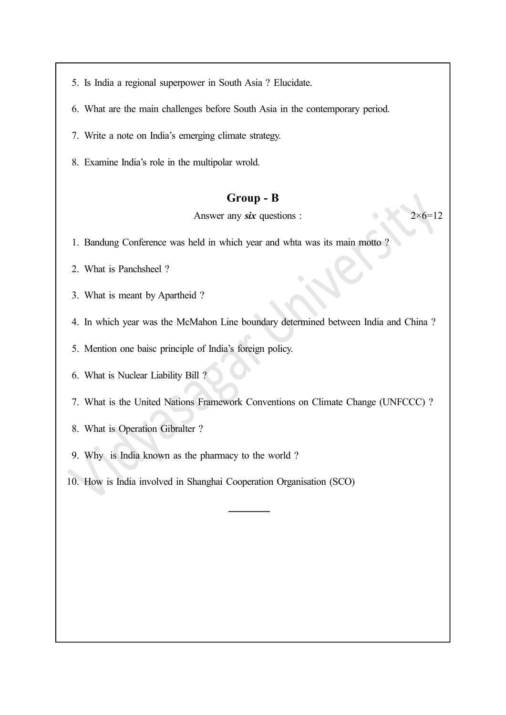5. Is India a regional superpower in South Asia ? Elucidate.

- 6. What are the main challenges before South Asia in the contemporary period.
- 7. Write a note on India's emerging climate strategy.
- 8. Examine India's role in the multipolar wrold.

#### Group - B

Answer any six questions :  $2 \times 6 = 12$ 

- 1. Bandung Conference was held in which year and whta was its main motto ?
- 2. What is Panchsheel ?
- 3. What is meant by Apartheid ?
- 4. In which year was the McMahon Line boundary determined between India and China ?
- 5. Mention one baisc principle of India's foreign policy.
- 6. What is Nuclear Liability Bill ?
- 7. What is the United Nations Framework Conventions on Climate Change (UNFCCC) ?
- 8. What is Operation Gibralter ?
- 9. Why is India known as the pharmacy to the world ?
- 10. How is India involved in Shanghai Cooperation Organisation (SCO)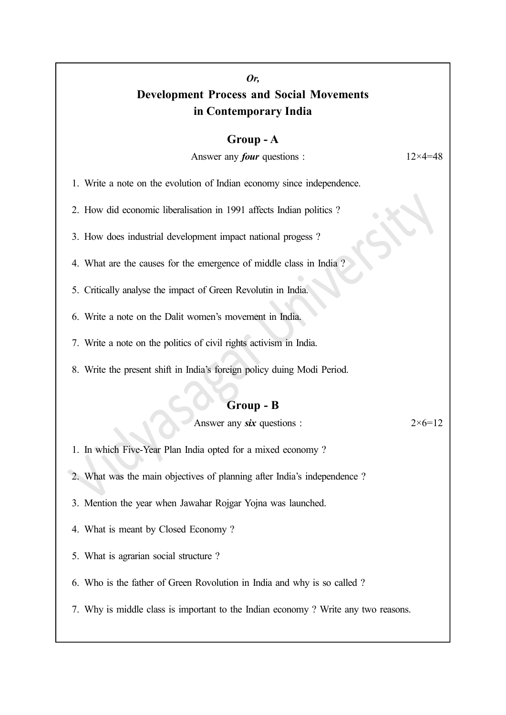## Or, Development Process and Social Movements in Contemporary India

#### Group - A

Answer any *four* questions :  $12 \times 4 = 48$ 

1. Write a note on the evolution of Indian economy since independence.

2. How did economic liberalisation in 1991 affects Indian politics ?

3. How does industrial development impact national progess ?

4. What are the causes for the emergence of middle class in India ?

5. Critically analyse the impact of Green Revolutin in India.

6. Write a note on the Dalit women's movement in India.

7. Write a note on the politics of civil rights activism in India.

8. Write the present shift in India's foreign policy duing Modi Period.

#### Group - B

Answer any six questions :  $2 \times 6 = 12$ 

1. In which Five-Year Plan India opted for a mixed economy ?

2. What was the main objectives of planning after India's independence ?

3. Mention the year when Jawahar Rojgar Yojna was launched.

4. What is meant by Closed Economy ?

5. What is agrarian social structure ?

6. Who is the father of Green Rovolution in India and why is so called ?

7. Why is middle class is important to the Indian economy ? Write any two reasons.